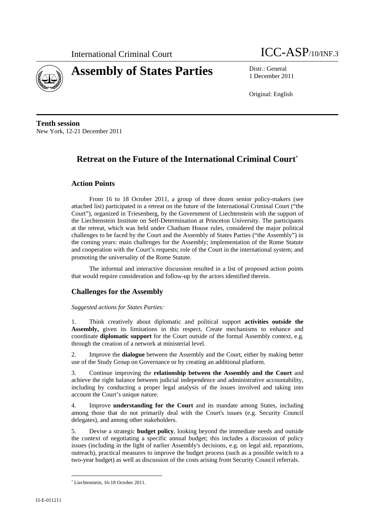

# **Assembly of States Parties** Distr.: General



1 December 2011

Original: English

**Tenth session**  New York, 12-21 December 2011

## **Retreat on the Future of the International Criminal Court**

## **Action Points**

From 16 to 18 October 2011, a group of three dozen senior policy-makers (see attached list) participated in a retreat on the future of the International Criminal Court ("the Court"), organized in Triesenberg, by the Government of Liechtenstein with the support of the Liechtenstein Institute on Self-Determination at Princeton University. The participants at the retreat, which was held under Chatham House rules, considered the major political challenges to be faced by the Court and the Assembly of States Parties ("the Assembly") in the coming years: main challenges for the Assembly; implementation of the Rome Statute and cooperation with the Court's requests; role of the Court in the international system; and promoting the universality of the Rome Statute.

The informal and interactive discussion resulted in a list of proposed action points that would require consideration and follow-up by the actors identified therein.

## **Challenges for the Assembly**

#### *Suggested actions for States Parties:*

1. Think creatively about diplomatic and political support **activities outside the Assembly,** given its limitations in this respect**.** Create mechanisms to enhance and coordinate **diplomatic support** for the Court outside of the formal Assembly context, e.g. through the creation of a network at ministerial level.

2. Improve the **dialogue** between the Assembly and the Court, either by making better use of the Study Group on Governance or by creating an additional platform.

3. Continue improving the **relationship between the Assembly and the Court** and achieve the right balance between judicial independence and administrative accountability, including by conducting a proper legal analysis of the issues involved and taking into account the Court's unique nature.

4. Improve **understanding for the Court** and its mandate among States, including among those that do not primarily deal with the Court's issues (e.g. Security Council delegates), and among other stakeholders.

5. Devise a strategic **budget policy**, looking beyond the immediate needs and outside the context of negotiating a specific annual budget; this includes a discussion of policy issues (including in the light of earlier Assembly's decisions, e.g. on legal aid, reparations, outreach), practical measures to improve the budget process (such as a possible switch to a two-year budget) as well as discussion of the costs arising from Security Council referrals.

 Liechtenstein, 16-18 October 2011.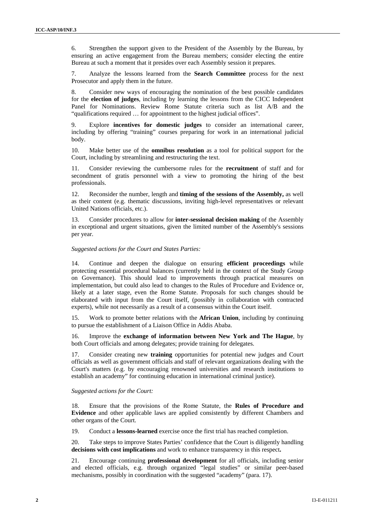6. Strengthen the support given to the President of the Assembly by the Bureau, by ensuring an active engagement from the Bureau members; consider electing the entire Bureau at such a moment that it presides over each Assembly session it prepares.

7. Analyze the lessons learned from the **Search Committee** process for the next Prosecutor and apply them in the future.

8. Consider new ways of encouraging the nomination of the best possible candidates for the **election of judges**, including by learning the lessons from the CICC Independent Panel for Nominations. Review Rome Statute criteria such as list A/B and the "qualifications required … for appointment to the highest judicial offices".

9. Explore **incentives for domestic judges** to consider an international career, including by offering "training" courses preparing for work in an international judicial body.

10. Make better use of the **omnibus resolution** as a tool for political support for the Court, including by streamlining and restructuring the text.

11. Consider reviewing the cumbersome rules for the **recruitment** of staff and for secondment of gratis personnel with a view to promoting the hiring of the best professionals.

12. Reconsider the number, length and **timing of the sessions of the Assembly,** as well as their content (e.g. thematic discussions, inviting high-level representatives or relevant United Nations officials, etc.).

13. Consider procedures to allow for **inter-sessional decision making** of the Assembly in exceptional and urgent situations, given the limited number of the Assembly's sessions per year.

#### *Suggested actions for the Court and States Parties:*

14. Continue and deepen the dialogue on ensuring **efficient proceedings** while protecting essential procedural balances (currently held in the context of the Study Group on Governance). This should lead to improvements through practical measures on implementation, but could also lead to changes to the Rules of Procedure and Evidence or, likely at a later stage, even the Rome Statute. Proposals for such changes should be elaborated with input from the Court itself, (possibly in collaboration with contracted experts), while not necessarily as a result of a consensus within the Court itself.

15. Work to promote better relations with the **African Union**, including by continuing to pursue the establishment of a Liaison Office in Addis Ababa.

16. Improve the **exchange of information between New York and The Hague**, by both Court officials and among delegates; provide training for delegates.

17. Consider creating new **training** opportunities for potential new judges and Court officials as well as government officials and staff of relevant organizations dealing with the Court's matters (e.g. by encouraging renowned universities and research institutions to establish an academy" for continuing education in international criminal justice).

#### *Suggested actions for the Court:*

18. Ensure that the provisions of the Rome Statute, the **Rules of Procedure and Evidence** and other applicable laws are applied consistently by different Chambers and other organs of the Court.

19. Conduct a **lessons-learned** exercise once the first trial has reached completion.

20. Take steps to improve States Parties' confidence that the Court is diligently handling **decisions with cost implications** and work to enhance transparency in this respect**.**

21. Encourage continuing **professional development** for all officials, including senior and elected officials, e.g. through organized "legal studies" or similar peer-based mechanisms, possibly in coordination with the suggested "academy" (para. 17).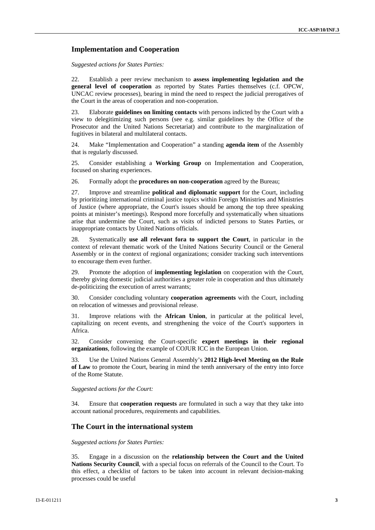### **Implementation and Cooperation**

*Suggested actions for States Parties:* 

22. Establish a peer review mechanism to **assess implementing legislation and the general level of cooperation** as reported by States Parties themselves (c.f. OPCW, UNCAC review processes), bearing in mind the need to respect the judicial prerogatives of the Court in the areas of cooperation and non-cooperation.

23. Elaborate **guidelines on limiting contacts** with persons indicted by the Court with a view to delegitimizing such persons (see e.g. similar guidelines by the Office of the Prosecutor and the United Nations Secretariat) and contribute to the marginalization of fugitives in bilateral and multilateral contacts.

24. Make "Implementation and Cooperation" a standing **agenda item** of the Assembly that is regularly discussed.

25. Consider establishing a **Working Group** on Implementation and Cooperation, focused on sharing experiences.

26. Formally adopt the **procedures on non-cooperation** agreed by the Bureau;

27. Improve and streamline **political and diplomatic support** for the Court, including by prioritizing international criminal justice topics within Foreign Ministries and Ministries of Justice (where appropriate, the Court's issues should be among the top three speaking points at minister's meetings). Respond more forcefully and systematically when situations arise that undermine the Court, such as visits of indicted persons to States Parties, or inappropriate contacts by United Nations officials.

28. Systematically **use all relevant fora to support the Court**, in particular in the context of relevant thematic work of the United Nations Security Council or the General Assembly or in the context of regional organizations; consider tracking such interventions to encourage them even further.

29. Promote the adoption of **implementing legislation** on cooperation with the Court, thereby giving domestic judicial authorities a greater role in cooperation and thus ultimately de-politicizing the execution of arrest warrants;

30. Consider concluding voluntary **cooperation agreements** with the Court, including on relocation of witnesses and provisional release.

31. Improve relations with the **African Union**, in particular at the political level, capitalizing on recent events, and strengthening the voice of the Court's supporters in Africa.

32. Consider convening the Court-specific **expert meetings in their regional organizations**, following the example of COJUR ICC in the European Union.

33. Use the United Nations General Assembly's **2012 High-level Meeting on the Rule of Law** to promote the Court, bearing in mind the tenth anniversary of the entry into force of the Rome Statute.

*Suggested actions for the Court:* 

34. Ensure that **cooperation requests** are formulated in such a way that they take into account national procedures, requirements and capabilities.

### **The Court in the international system**

*Suggested actions for States Parties:* 

35. Engage in a discussion on the **relationship between the Court and the United Nations Security Council**, with a special focus on referrals of the Council to the Court. To this effect, a checklist of factors to be taken into account in relevant decision-making processes could be useful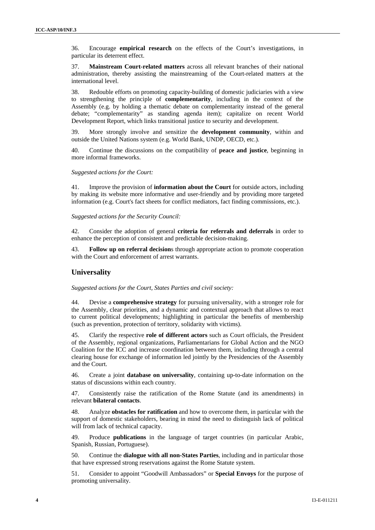36. Encourage **empirical research** on the effects of the Court's investigations, in particular its deterrent effect.

37. **Mainstream Court-related matters** across all relevant branches of their national administration, thereby assisting the mainstreaming of the Court-related matters at the international level.

38. Redouble efforts on promoting capacity-building of domestic judiciaries with a view to strengthening the principle of **complementarity**, including in the context of the Assembly (e.g. by holding a thematic debate on complementarity instead of the general debate; "complementarity" as standing agenda item); capitalize on recent World Development Report, which links transitional justice to security and development.

39. More strongly involve and sensitize the **development community**, within and outside the United Nations system (e.g. World Bank, UNDP, OECD, etc.).

40. Continue the discussions on the compatibility of **peace and justice**, beginning in more informal frameworks.

*Suggested actions for the Court:* 

41. Improve the provision of **information about the Court** for outside actors, including by making its website more informative and user-friendly and by providing more targeted information (e.g. Court's fact sheets for conflict mediators, fact finding commissions, etc.).

*Suggested actions for the Security Council:* 

42. Consider the adoption of general **criteria for referrals and deferrals** in order to enhance the perception of consistent and predictable decision-making.

43. **Follow up on referral decision**s through appropriate action to promote cooperation with the Court and enforcement of arrest warrants.

#### **Universality**

*Suggested actions for the Court, States Parties and civil society:* 

44. Devise a **comprehensive strategy** for pursuing universality, with a stronger role for the Assembly, clear priorities, and a dynamic and contextual approach that allows to react to current political developments; highlighting in particular the benefits of membership (such as prevention, protection of territory, solidarity with victims).

45. Clarify the respective **role of different actors** such as Court officials, the President of the Assembly, regional organizations, Parliamentarians for Global Action and the NGO Coalition for the ICC and increase coordination between them, including through a central clearing house for exchange of information led jointly by the Presidencies of the Assembly and the Court.

46. Create a joint **database on universality**, containing up-to-date information on the status of discussions within each country.

47. Consistently raise the ratification of the Rome Statute (and its amendments) in relevant **bilateral contacts**.

48. Analyze **obstacles for ratification** and how to overcome them, in particular with the support of domestic stakeholders, bearing in mind the need to distinguish lack of political will from lack of technical capacity.

49. Produce **publications** in the language of target countries (in particular Arabic, Spanish, Russian, Portuguese).

50. Continue the **dialogue with all non-States Parties**, including and in particular those that have expressed strong reservations against the Rome Statute system.

51. Consider to appoint "Goodwill Ambassadors" or **Special Envoys** for the purpose of promoting universality.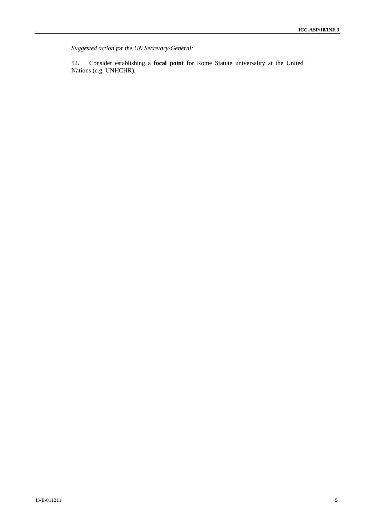*Suggested action for the UN Secretary-General:* 

52. Consider establishing a **focal point** for Rome Statute universality at the United Nations (e.g. UNHCHR).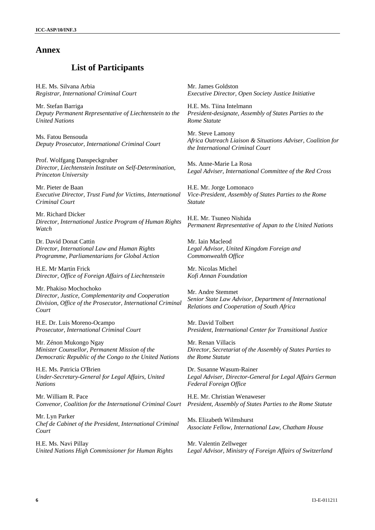## **Annex**

## **List of Participants**

H.E. Ms. Silvana Arbia *Registrar, International Criminal Court* 

Mr. Stefan Barriga *Deputy Permanent Representative of Liechtenstein to the United Nations* 

Ms. Fatou Bensouda *Deputy Prosecutor, International Criminal Court* 

Prof. Wolfgang Danspeckgruber *Director, Liechtenstein Institute on Self-Determination, Princeton University* 

Mr. Pieter de Baan *Executive Director, Trust Fund for Victims, International Criminal Court* 

Mr. Richard Dicker *Director, International Justice Program of Human Rights Watch* 

Dr. David Donat Cattin *Director, International Law and Human Rights Programme, Parliamentarians for Global Action* 

H.E. Mr Martin Frick *Director, Office of Foreign Affairs of Liechtenstein* 

Mr. Phakiso Mochochoko *Director, Justice, Complementarity and Cooperation Division, Office of the Prosecutor, International Criminal Court* 

H.E. Dr. Luis Moreno-Ocampo *Prosecutor, International Criminal Court* 

Mr. Zénon Mukongo Ngay *Minister Counsellor, Permanent Mission of the Democratic Republic of the Congo to the United Nations* 

H.E. Ms. Patricia O'Brien *Under-Secretary-General for Legal Affairs, United Nations* 

Mr. William R. Pace *Convenor, Coalition for the International Criminal Court*

Mr. Lyn Parker *Chef de Cabinet of the President, International Criminal Court* 

H.E. Ms. Navi Pillay *United Nations High Commissioner for Human Rights*  Mr. James Goldston *Executive Director, Open Society Justice Initiative* 

H.E. Ms. Tiina Intelmann *President-designate, Assembly of States Parties to the Rome Statute* 

Mr. Steve Lamony *Africa Outreach Liaison & Situations Adviser, Coalition for the International Criminal Court*

Ms. Anne-Marie La Rosa *Legal Adviser, International Committee of the Red Cross* 

H.E. Mr. Jorge Lomonaco *Vice-President, Assembly of States Parties to the Rome Statute* 

H.E. Mr. Tsuneo Nishida *Permanent Representative of Japan to the United Nations* 

Mr. Iain Macleod *Legal Advisor, United Kingdom Foreign and Commonwealth Office* 

Mr. Nicolas Michel *Kofi Annan Foundation* 

Mr. Andre Stemmet *Senior State Law Advisor, Department of International Relations and Cooperation of South Africa*

Mr. David Tolbert *President, International Center for Transitional Justice*

Mr. Renan Villacis *Director, Secretariat of the Assembly of States Parties to the Rome Statute*

Dr. Susanne Wasum-Rainer *Legal Adviser, Director-General for Legal Affairs German Federal Foreign Office*

H.E. Mr. Christian Wenaweser *President, Assembly of States Parties to the Rome Statute*

Ms. Elizabeth Wilmshurst *Associate Fellow, International Law, Chatham House*

Mr. Valentin Zellweger *Legal Advisor, Ministry of Foreign Affairs of Switzerland*